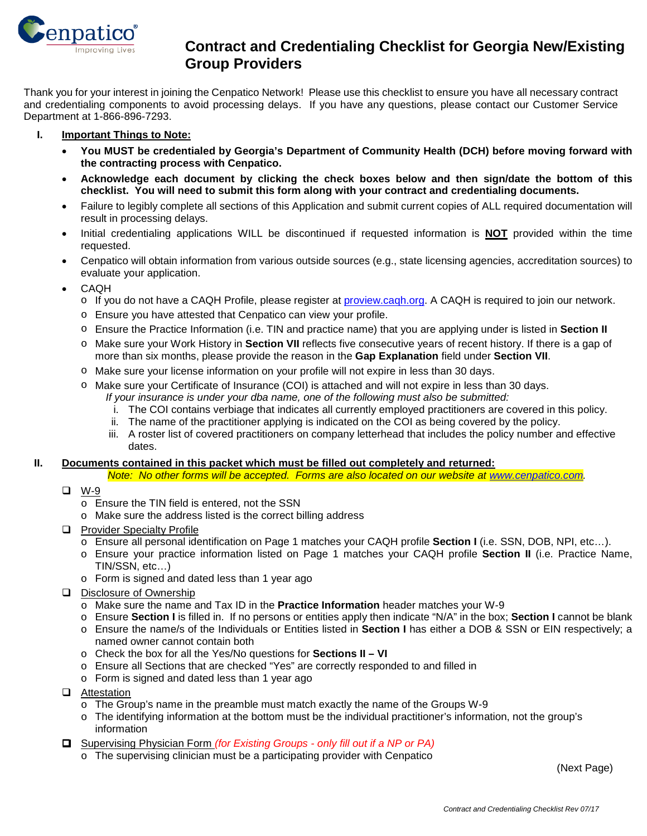

## **Contract and Credentialing Checklist for Georgia New/Existing**<br> **Contract and Credentialing Checklist for Georgia New/Existing Group Providers**

Thank you for your interest in joining the Cenpatico Network! Please use this checklist to ensure you have all necessary contract and credentialing components to avoid processing delays. If you have any questions, please contact our Customer Service Department at 1-866-896-7293.

#### **I. Important Things to Note:**

- **You MUST be credentialed by Georgia's Department of Community Health (DCH) before moving forward with the contracting process with Cenpatico.**
- **Acknowledge each document by clicking the check boxes below and then sign/date the bottom of this checklist. You will need to submit this form along with your contract and credentialing documents.**
- Failure to legibly complete all sections of this Application and submit current copies of ALL required documentation will result in processing delays.
- Initial credentialing applications WILL be discontinued if requested information is **NOT** provided within the time requested.
- Cenpatico will obtain information from various outside sources (e.g., state licensing agencies, accreditation sources) to evaluate your application.
- CAQH
	- o If you do not have a CAQH Profile, please register at [proview.caqh.org.](http://proview.caqh.org/) A CAQH is required to join our network.
	- o Ensure you have attested that Cenpatico can view your profile.
	- o Ensure the Practice Information (i.e. TIN and practice name) that you are applying under is listed in **Section II**
	- o Make sure your Work History in **Section VII** reflects five consecutive years of recent history. If there is a gap of more than six months, please provide the reason in the **Gap Explanation** field under **Section VII**.
	- o Make sure your license information on your profile will not expire in less than 30 days.
	- o Make sure your Certificate of Insurance (COI) is attached and will not expire in less than 30 days.
		- *If your insurance is under your dba name, one of the following must also be submitted:*
			- i. The COI contains verbiage that indicates all currently employed practitioners are covered in this policy.
		- ii. The name of the practitioner applying is indicated on the COI as being covered by the policy.
		- iii. A roster list of covered practitioners on company letterhead that includes the policy number and effective dates.

#### **II. Documents contained in this packet which must be filled out completely and returned:**

*Note: No other forms will be accepted. Forms are also located on our website at [www.cenpatico.com.](http://www.cenpatico.com/)*

- W-9
	- o Ensure the TIN field is entered, not the SSN
	- o Make sure the address listed is the correct billing address
- **Q** Provider Specialty Profile
	- o Ensure all personal identification on Page 1 matches your CAQH profile **Section I** (i.e. SSN, DOB, NPI, etc…).
	- o Ensure your practice information listed on Page 1 matches your CAQH profile **Section II** (i.e. Practice Name, TIN/SSN, etc…)
	- o Form is signed and dated less than 1 year ago
- Disclosure of Ownership
	- o Make sure the name and Tax ID in the **Practice Information** header matches your W-9
	- o Ensure **Section I** is filled in. If no persons or entities apply then indicate "N/A" in the box; **Section I** cannot be blank
	- o Ensure the name/s of the Individuals or Entities listed in **Section I** has either a DOB & SSN or EIN respectively; a named owner cannot contain both
	- o Check the box for all the Yes/No questions for **Sections II – VI**
	- o Ensure all Sections that are checked "Yes" are correctly responded to and filled in
	- o Form is signed and dated less than 1 year ago
- **Q** Attestation
	- $\circ$  The Group's name in the preamble must match exactly the name of the Groups W-9
	- o The identifying information at the bottom must be the individual practitioner's information, not the group's information
- Supervising Physician Form *(for Existing Groups - only fill out if a NP or PA)*
	- o The supervising clinician must be a participating provider with Cenpatico

(Next Page)